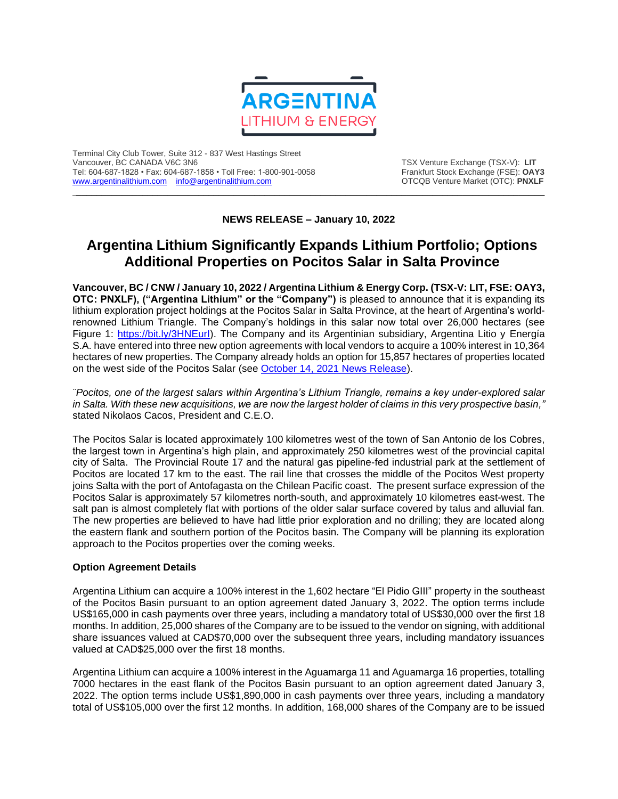

Terminal City Club Tower, Suite 312 - 837 West Hastings Street Tel: 604-687-1828 • Fax: 604-687-1858 • Toll Free: 1-800-901-0058 Frankfurt Stock Exchange (FSE): **OAY3**<br>https://www.argentinalithium.com info@argentinalithium.com into the source of the STCQB Venture Market (OTC): PNXLF [www.argentinalithium.com](http://www.argentinalithium.com/) [info@argentinalithium.com](mailto:info@argentinalithium.com)

TSX Venture Exchange (TSX-V): LIT<br>Frankfurt Stock Exchange (FSE): OAY3

**NEWS RELEASE – January 10, 2022**

 $\_$  , and the state of the state of the state of the state of the state of the state of the state of the state of the state of the state of the state of the state of the state of the state of the state of the state of the

## **Argentina Lithium Significantly Expands Lithium Portfolio; Options Additional Properties on Pocitos Salar in Salta Province**

**Vancouver, BC / CNW / January 10, 2022 / Argentina Lithium & Energy Corp. (TSX-V: LIT, FSE: OAY3, OTC: PNXLF), ("Argentina Lithium" or the "Company")** is pleased to announce that it is expanding its lithium exploration project holdings at the Pocitos Salar in Salta Province, at the heart of Argentina's worldrenowned Lithium Triangle. The Company's holdings in this salar now total over 26,000 hectares (see Figure 1: [https://bit.ly/3HNEurI\)](https://bit.ly/3HNEurI). The Company and its Argentinian subsidiary, Argentina Litio y Energía S.A. have entered into three new option agreements with local vendors to acquire a 100% interest in 10,364 hectares of new properties. The Company already holds an option for 15,857 hectares of properties located on the west side of the Pocitos Salar (see [October 14, 2021 News Release\)](https://bit.ly/3q1nrMC).

*¨Pocitos, one of the largest salars within Argentina's Lithium Triangle, remains a key under-explored salar in Salta. With these new acquisitions, we are now the largest holder of claims in this very prospective basin,"* stated Nikolaos Cacos, President and C.E.O.

The Pocitos Salar is located approximately 100 kilometres west of the town of San Antonio de los Cobres, the largest town in Argentina's high plain, and approximately 250 kilometres west of the provincial capital city of Salta. The Provincial Route 17 and the natural gas pipeline-fed industrial park at the settlement of Pocitos are located 17 km to the east. The rail line that crosses the middle of the Pocitos West property joins Salta with the port of Antofagasta on the Chilean Pacific coast. The present surface expression of the Pocitos Salar is approximately 57 kilometres north-south, and approximately 10 kilometres east-west. The salt pan is almost completely flat with portions of the older salar surface covered by talus and alluvial fan. The new properties are believed to have had little prior exploration and no drilling; they are located along the eastern flank and southern portion of the Pocitos basin. The Company will be planning its exploration approach to the Pocitos properties over the coming weeks.

## **Option Agreement Details**

Argentina Lithium can acquire a 100% interest in the 1,602 hectare "El Pidio GIII" property in the southeast of the Pocitos Basin pursuant to an option agreement dated January 3, 2022. The option terms include US\$165,000 in cash payments over three years, including a mandatory total of US\$30,000 over the first 18 months. In addition, 25,000 shares of the Company are to be issued to the vendor on signing, with additional share issuances valued at CAD\$70,000 over the subsequent three years, including mandatory issuances valued at CAD\$25,000 over the first 18 months.

Argentina Lithium can acquire a 100% interest in the Aguamarga 11 and Aguamarga 16 properties, totalling 7000 hectares in the east flank of the Pocitos Basin pursuant to an option agreement dated January 3, 2022. The option terms include US\$1,890,000 in cash payments over three years, including a mandatory total of US\$105,000 over the first 12 months. In addition, 168,000 shares of the Company are to be issued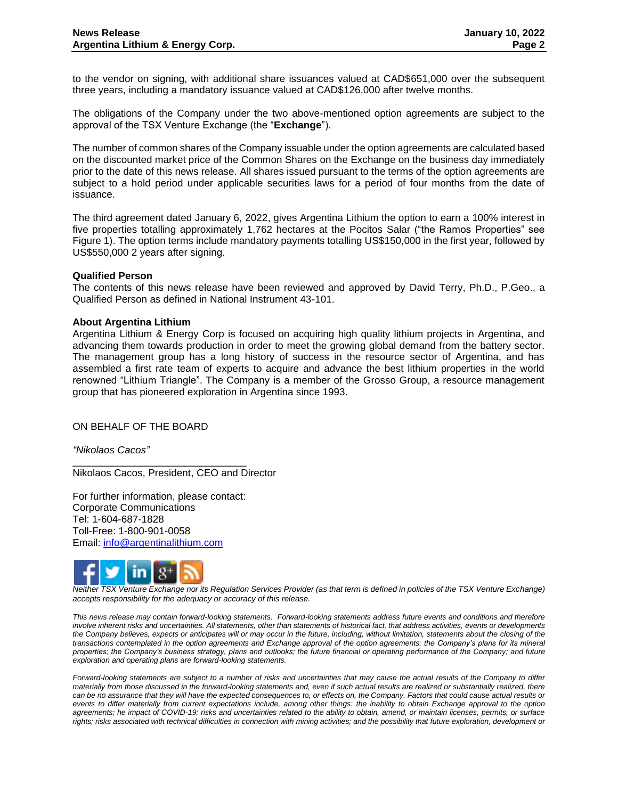to the vendor on signing, with additional share issuances valued at CAD\$651,000 over the subsequent three years, including a mandatory issuance valued at CAD\$126,000 after twelve months.

The obligations of the Company under the two above-mentioned option agreements are subject to the approval of the TSX Venture Exchange (the "**Exchange**").

The number of common shares of the Company issuable under the option agreements are calculated based on the discounted market price of the Common Shares on the Exchange on the business day immediately prior to the date of this news release. All shares issued pursuant to the terms of the option agreements are subject to a hold period under applicable securities laws for a period of four months from the date of issuance.

The third agreement dated January 6, 2022, gives Argentina Lithium the option to earn a 100% interest in five properties totalling approximately 1,762 hectares at the Pocitos Salar ("the Ramos Properties" see Figure 1). The option terms include mandatory payments totalling US\$150,000 in the first year, followed by US\$550,000 2 years after signing.

## **Qualified Person**

The contents of this news release have been reviewed and approved by David Terry, Ph.D., P.Geo., a Qualified Person as defined in National Instrument 43-101.

## **About Argentina Lithium**

Argentina Lithium & Energy Corp is focused on acquiring high quality lithium projects in Argentina, and advancing them towards production in order to meet the growing global demand from the battery sector. The management group has a long history of success in the resource sector of Argentina, and has assembled a first rate team of experts to acquire and advance the best lithium properties in the world renowned "Lithium Triangle". The Company is a member of the Grosso Group, a resource management group that has pioneered exploration in Argentina since 1993.

ON BEHALF OF THE BOARD

*"Nikolaos Cacos"*

Nikolaos Cacos, President, CEO and Director

For further information, please contact: Corporate Communications Tel: 1-604-687-1828 Toll-Free: 1-800-901-0058 Email: [info@argentinalithium.com](mailto:info@argentinalithium.com)

\_\_\_\_\_\_\_\_\_\_\_\_\_\_\_\_\_\_\_\_\_\_\_\_\_\_\_\_\_\_\_



*Neither TSX Venture Exchange nor its Regulation Services Provider (as that term is defined in policies of the TSX Venture Exchange) accepts responsibility for the adequacy or accuracy of this release.* 

*This news release may contain forward-looking statements. Forward-looking statements address future events and conditions and therefore involve inherent risks and uncertainties. All statements, other than statements of historical fact, that address activities, events or developments the Company believes, expects or anticipates will or may occur in the future, including, without limitation, statements about the closing of the transactions contemplated in the option agreements and Exchange approval of the option agreements; the Company's plans for its mineral*  properties; the Company's business strategy, plans and outlooks; the future financial or operating performance of the Company; and future *exploration and operating plans are forward-looking statements.* 

*Forward-looking statements are subject to a number of risks and uncertainties that may cause the actual results of the Company to differ materially from those discussed in the forward-looking statements and, even if such actual results are realized or substantially realized, there can be no assurance that they will have the expected consequences to, or effects on, the Company. Factors that could cause actual results or events to differ materially from current expectations include, among other things: the inability to obtain Exchange approval to the option agreements; he impact of COVID-19; risks and uncertainties related to the ability to obtain, amend, or maintain licenses, permits, or surface*  rights; risks associated with technical difficulties in connection with mining activities; and the possibility that future exploration, development or